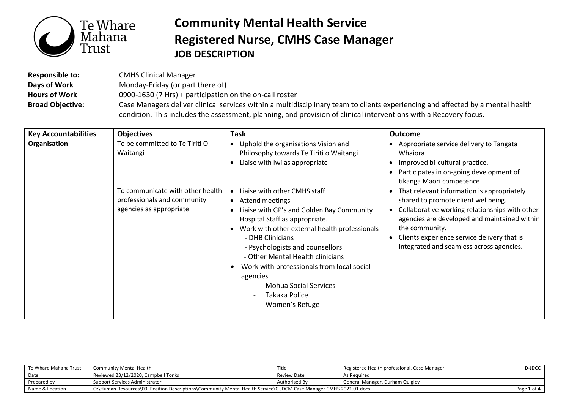

## **Community Mental Health Service Registered Nurse, CMHS Case Manager JOB DESCRIPTION**

**Responsible to:** CMHS Clinical Manager **Days of Work Hours of Work Broad Objective:** Monday-Friday (or part there of) 0900-1630 (7 Hrs) + participation on the on-call roster Case Managers deliver clinical services within a multidisciplinary team to clients experiencing and affected by a mental health condition. This includes the assessment, planning, and provision of clinical interventions with a Recovery focus.

| <b>Key Accountabilities</b> | <b>Objectives</b>                                                                           | <b>Task</b>                                                                                                                                                                                                                                                                                                                                                                                                         | <b>Outcome</b>                                                                                                                                                                                                                                                                                                                          |
|-----------------------------|---------------------------------------------------------------------------------------------|---------------------------------------------------------------------------------------------------------------------------------------------------------------------------------------------------------------------------------------------------------------------------------------------------------------------------------------------------------------------------------------------------------------------|-----------------------------------------------------------------------------------------------------------------------------------------------------------------------------------------------------------------------------------------------------------------------------------------------------------------------------------------|
| Organisation                | To be committed to Te Tiriti O<br>Waitangi                                                  | Uphold the organisations Vision and<br>Philosophy towards Te Tiriti o Waitangi.<br>Liaise with Iwi as appropriate                                                                                                                                                                                                                                                                                                   | Appropriate service delivery to Tangata<br>$\bullet$<br>Whaiora<br>Improved bi-cultural practice.<br>$\bullet$<br>Participates in on-going development of<br>$\bullet$<br>tikanga Maori competence                                                                                                                                      |
|                             | To communicate with other health<br>professionals and community<br>agencies as appropriate. | Liaise with other CMHS staff<br>Attend meetings<br>$\bullet$<br>Liaise with GP's and Golden Bay Community<br>Hospital Staff as appropriate.<br>Work with other external health professionals<br>- DHB Clinicians<br>- Psychologists and counsellors<br>- Other Mental Health clinicians<br>Work with professionals from local social<br>agencies<br><b>Mohua Social Services</b><br>Takaka Police<br>Women's Refuge | That relevant information is appropriately<br>$\bullet$<br>shared to promote client wellbeing.<br>Collaborative working relationships with other<br>$\bullet$<br>agencies are developed and maintained within<br>the community.<br>Clients experience service delivery that is<br>$\bullet$<br>integrated and seamless across agencies. |

| Te Whare Mahana Trust | Community Mental Health                                                                                            | Title         | Registered Health professional, Case Manager | <b>D-JDCC</b> |
|-----------------------|--------------------------------------------------------------------------------------------------------------------|---------------|----------------------------------------------|---------------|
| Date                  | Reviewed 23/12/2020, Campbell Tonks                                                                                | Review Date   | As Reguired                                  |               |
| Prepared by           | Support Services Administrator                                                                                     | Authorised By | General Manager, Durham Quigley              |               |
| Name & Location       | O:\Human Resources\03. Position Descriptions\Community Mental Health Service\C-JDCM Case Manager CMHS 2021.01.docx |               |                                              | Page 1 of 4   |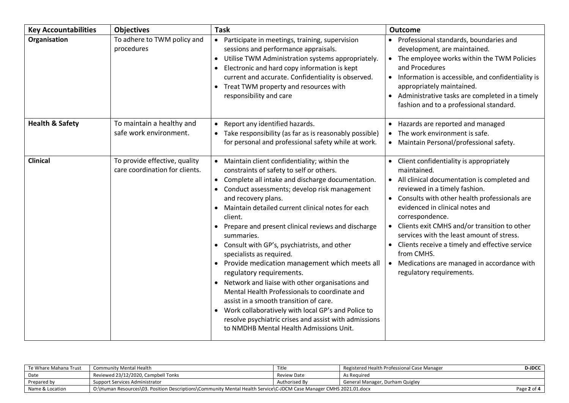| <b>Key Accountabilities</b> | <b>Objectives</b>                                               | <b>Task</b>                                                                                                                                                                                                                                                                                                                                                                                                                                                                                                                                                                                                                                                                                                                                                                                                                                                   | <b>Outcome</b>                                                                                                                                                                                                                                                                                                                                                                                                                                                                                                             |
|-----------------------------|-----------------------------------------------------------------|---------------------------------------------------------------------------------------------------------------------------------------------------------------------------------------------------------------------------------------------------------------------------------------------------------------------------------------------------------------------------------------------------------------------------------------------------------------------------------------------------------------------------------------------------------------------------------------------------------------------------------------------------------------------------------------------------------------------------------------------------------------------------------------------------------------------------------------------------------------|----------------------------------------------------------------------------------------------------------------------------------------------------------------------------------------------------------------------------------------------------------------------------------------------------------------------------------------------------------------------------------------------------------------------------------------------------------------------------------------------------------------------------|
| Organisation                | To adhere to TWM policy and<br>procedures                       | Participate in meetings, training, supervision<br>$\bullet$<br>sessions and performance appraisals.<br>Utilise TWM Administration systems appropriately.<br>$\bullet$<br>Electronic and hard copy information is kept<br>current and accurate. Confidentiality is observed.<br>Treat TWM property and resources with<br>responsibility and care                                                                                                                                                                                                                                                                                                                                                                                                                                                                                                               | • Professional standards, boundaries and<br>development, are maintained.<br>• The employee works within the TWM Policies<br>and Procedures<br>• Information is accessible, and confidentiality is<br>appropriately maintained.<br>Administrative tasks are completed in a timely<br>$\bullet$<br>fashion and to a professional standard.                                                                                                                                                                                   |
| <b>Health &amp; Safety</b>  | To maintain a healthy and<br>safe work environment.             | Report any identified hazards.<br>Take responsibility (as far as is reasonably possible)<br>for personal and professional safety while at work.                                                                                                                                                                                                                                                                                                                                                                                                                                                                                                                                                                                                                                                                                                               | Hazards are reported and managed<br>$\bullet$<br>The work environment is safe.<br>$\bullet$<br>• Maintain Personal/professional safety.                                                                                                                                                                                                                                                                                                                                                                                    |
| <b>Clinical</b>             | To provide effective, quality<br>care coordination for clients. | Maintain client confidentiality; within the<br>constraints of safety to self or others.<br>Complete all intake and discharge documentation.<br>Conduct assessments; develop risk management<br>and recovery plans.<br>Maintain detailed current clinical notes for each<br>$\bullet$<br>client.<br>Prepare and present clinical reviews and discharge<br>summaries.<br>Consult with GP's, psychiatrists, and other<br>$\bullet$<br>specialists as required.<br>Provide medication management which meets all<br>$\bullet$<br>regulatory requirements.<br>Network and liaise with other organisations and<br>Mental Health Professionals to coordinate and<br>assist in a smooth transition of care.<br>Work collaboratively with local GP's and Police to<br>resolve psychiatric crises and assist with admissions<br>to NMDHB Mental Health Admissions Unit. | Client confidentiality is appropriately<br>maintained.<br>All clinical documentation is completed and<br>reviewed in a timely fashion.<br>Consults with other health professionals are<br>$\bullet$<br>evidenced in clinical notes and<br>correspondence.<br>Clients exit CMHS and/or transition to other<br>services with the least amount of stress.<br>Clients receive a timely and effective service<br>$\bullet$<br>from CMHS.<br>Medications are managed in accordance with<br>$\bullet$<br>regulatory requirements. |

| Te Whare Mahana Trust | l Community Mental Health                                                                                          | Title         | Registered Health Professional Case Manager | <b>D-JDCC</b> |
|-----------------------|--------------------------------------------------------------------------------------------------------------------|---------------|---------------------------------------------|---------------|
| Date                  | Reviewed 23/12/2020, Campbell Tonks                                                                                | Review Date   | As Reguired                                 |               |
| Prepared by           | Support Services Administrator                                                                                     | Authorised By | General Manager, Durham Quigley             |               |
| Name & Location       | O:\Human Resources\03. Position Descriptions\Community Mental Health Service\C-JDCM Case Manager CMHS 2021.01.docx |               |                                             | Page 2 of $4$ |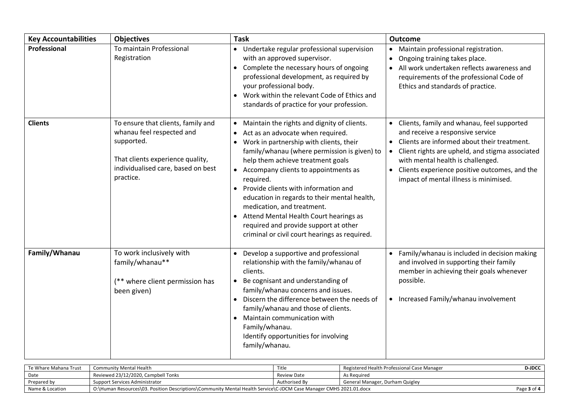| <b>Key Accountabilities</b> | <b>Objectives</b>                                                                                                                                                    | <b>Task</b>                                                                                                                                                                                                                                                                                                                                                                                                                                                                                                                                                                                      | Outcome                                                                                                                                                                                                                                                                                                                       |
|-----------------------------|----------------------------------------------------------------------------------------------------------------------------------------------------------------------|--------------------------------------------------------------------------------------------------------------------------------------------------------------------------------------------------------------------------------------------------------------------------------------------------------------------------------------------------------------------------------------------------------------------------------------------------------------------------------------------------------------------------------------------------------------------------------------------------|-------------------------------------------------------------------------------------------------------------------------------------------------------------------------------------------------------------------------------------------------------------------------------------------------------------------------------|
| Professional                | To maintain Professional<br>Registration                                                                                                                             | • Undertake regular professional supervision<br>with an approved supervisor.<br>Complete the necessary hours of ongoing<br>$\bullet$<br>professional development, as required by<br>your professional body.<br>Work within the relevant Code of Ethics and<br>standards of practice for your profession.                                                                                                                                                                                                                                                                                         | Maintain professional registration.<br>$\bullet$<br>Ongoing training takes place.<br>$\bullet$<br>All work undertaken reflects awareness and<br>requirements of the professional Code of<br>Ethics and standards of practice.                                                                                                 |
| <b>Clients</b>              | To ensure that clients, family and<br>whanau feel respected and<br>supported.<br>That clients experience quality,<br>individualised care, based on best<br>practice. | Maintain the rights and dignity of clients.<br>Act as an advocate when required.<br>$\bullet$<br>Work in partnership with clients, their<br>$\bullet$<br>family/whanau (where permission is given) to<br>help them achieve treatment goals<br>Accompany clients to appointments as<br>$\bullet$<br>required.<br>Provide clients with information and<br>$\bullet$<br>education in regards to their mental health,<br>medication, and treatment.<br>Attend Mental Health Court hearings as<br>$\bullet$<br>required and provide support at other<br>criminal or civil court hearings as required. | Clients, family and whanau, feel supported<br>and receive a responsive service<br>Clients are informed about their treatment.<br>Client rights are upheld, and stigma associated<br>with mental health is challenged.<br>Clients experience positive outcomes, and the<br>$\bullet$<br>impact of mental illness is minimised. |
| Family/Whanau               | To work inclusively with<br>family/whanau**<br>(** where client permission has<br>been given)                                                                        | Develop a supportive and professional<br>relationship with the family/whanau of<br>clients.<br>Be cognisant and understanding of<br>$\bullet$<br>family/whanau concerns and issues.<br>Discern the difference between the needs of<br>$\bullet$<br>family/whanau and those of clients.<br>Maintain communication with<br>$\bullet$<br>Family/whanau.<br>Identify opportunities for involving<br>family/whanau.                                                                                                                                                                                   | Family/whanau is included in decision making<br>$\bullet$<br>and involved in supporting their family<br>member in achieving their goals whenever<br>possible.<br>• Increased Family/whanau involvement                                                                                                                        |

| Te Whare Mahana Trust | Community Mental Health                                                                                            | Title         | Registered Health Professional Case Manager | <b>D-JDCC</b> |
|-----------------------|--------------------------------------------------------------------------------------------------------------------|---------------|---------------------------------------------|---------------|
| Date                  | Reviewed 23/12/2020, Campbell Tonks                                                                                | Review Date   | As Reguired                                 |               |
| Prepared by           | Support Services Administrator                                                                                     | Authorised By | <b>General Manager, Durham Quigley</b>      |               |
| Name & Location       | O:\Human Resources\03. Position Descriptions\Community Mental Health Service\C-JDCM Case Manager CMHS 2021.01.docx |               |                                             | Page 3 of 4   |